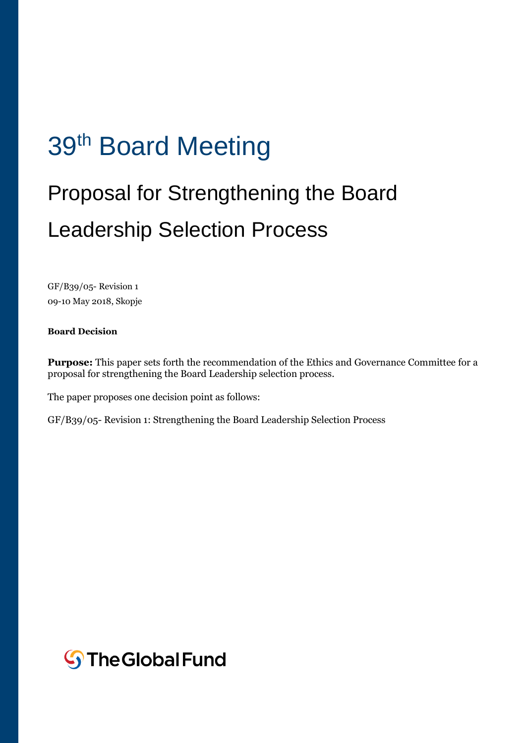# 39<sup>th</sup> Board Meeting

# Proposal for Strengthening the Board Leadership Selection Process

GF/B39/05- Revision 1 09-10 May 2018, Skopje

### **Board Decision**

**Purpose:** This paper sets forth the recommendation of the Ethics and Governance Committee for a proposal for strengthening the Board Leadership selection process.

The paper proposes one decision point as follows:

GF/B39/05- Revision 1: Strengthening the Board Leadership Selection Process

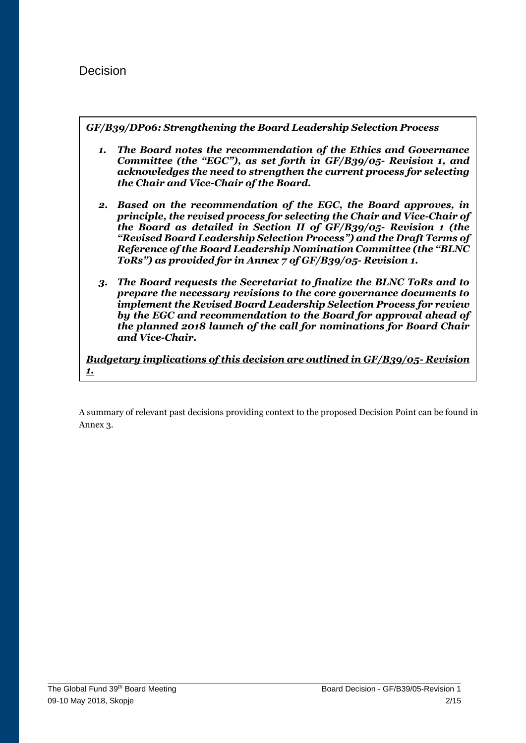## Decision

*GF/B39/DP06: Strengthening the Board Leadership Selection Process*

- *1. The Board notes the recommendation of the Ethics and Governance Committee (the "EGC"), as set forth in GF/B39/05- Revision 1, and acknowledges the need to strengthen the current process for selecting the Chair and Vice-Chair of the Board.*
- *2. Based on the recommendation of the EGC, the Board approves, in principle, the revised process for selecting the Chair and Vice-Chair of the Board as detailed in Section II of GF/B39/05- Revision 1 (the "Revised Board Leadership Selection Process") and the Draft Terms of Reference of the Board Leadership Nomination Committee (the "BLNC ToRs") as provided for in Annex 7 of GF/B39/05- Revision 1.*
- *3. The Board requests the Secretariat to finalize the BLNC ToRs and to prepare the necessary revisions to the core governance documents to implement the Revised Board Leadership Selection Process for review by the EGC and recommendation to the Board for approval ahead of the planned 2018 launch of the call for nominations for Board Chair and Vice-Chair.*

*Budgetary implications of this decision are outlined in GF/B39/05- Revision 1.*

A summary of relevant past decisions providing context to the proposed Decision Point can be found in Annex 3.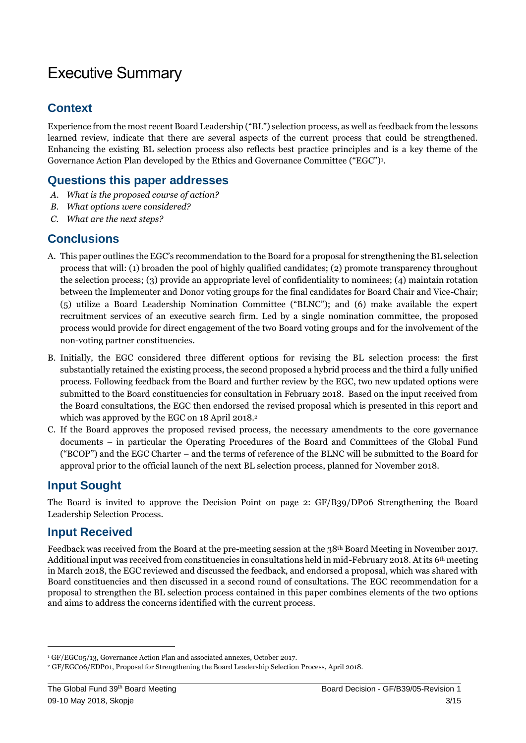# Executive Summary

## **Context**

Experience from the most recent Board Leadership ("BL") selection process, as well as feedback from the lessons learned review, indicate that there are several aspects of the current process that could be strengthened. Enhancing the existing BL selection process also reflects best practice principles and is a key theme of the Governance Action Plan developed by the Ethics and Governance Committee ("EGC")<sup>1</sup> .

## **Questions this paper addresses**

- *A. What is the proposed course of action?*
- *B. What options were considered?*
- *C. What are the next steps?*

## **Conclusions**

- A. This paper outlines the EGC's recommendation to the Board for a proposal for strengthening the BL selection process that will: (1) broaden the pool of highly qualified candidates; (2) promote transparency throughout the selection process; (3) provide an appropriate level of confidentiality to nominees; (4) maintain rotation between the Implementer and Donor voting groups for the final candidates for Board Chair and Vice-Chair; (5) utilize a Board Leadership Nomination Committee ("BLNC"); and (6) make available the expert recruitment services of an executive search firm. Led by a single nomination committee, the proposed process would provide for direct engagement of the two Board voting groups and for the involvement of the non-voting partner constituencies.
- B. Initially, the EGC considered three different options for revising the BL selection process: the first substantially retained the existing process, the second proposed a hybrid process and the third a fully unified process. Following feedback from the Board and further review by the EGC, two new updated options were submitted to the Board constituencies for consultation in February 2018. Based on the input received from the Board consultations, the EGC then endorsed the revised proposal which is presented in this report and which was approved by the EGC on 18 April 2018.<sup>2</sup>
- C. If the Board approves the proposed revised process, the necessary amendments to the core governance documents – in particular the Operating Procedures of the Board and Committees of the Global Fund ("BCOP") and the EGC Charter – and the terms of reference of the BLNC will be submitted to the Board for approval prior to the official launch of the next BL selection process, planned for November 2018.

## **Input Sought**

The Board is invited to approve the Decision Point on page 2: GF/B39/DP06 Strengthening the Board Leadership Selection Process.

## **Input Received**

**.** 

Feedback was received from the Board at the pre-meeting session at the 38th Board Meeting in November 2017. Additional input was received from constituencies in consultations held in mid-February 2018. At its 6th meeting in March 2018, the EGC reviewed and discussed the feedback, and endorsed a proposal, which was shared with Board constituencies and then discussed in a second round of consultations. The EGC recommendation for a proposal to strengthen the BL selection process contained in this paper combines elements of the two options and aims to address the concerns identified with the current process.

<sup>1</sup> GF/EGC05/13, Governance Action Plan and associated annexes, October 2017.

<sup>2</sup> GF/EGC06/EDP01, Proposal for Strengthening the Board Leadership Selection Process, April 2018.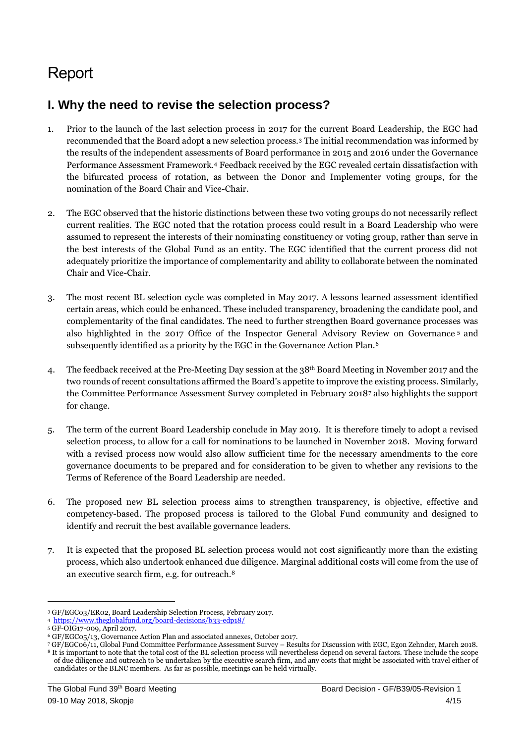# **Report**

# **I. Why the need to revise the selection process?**

- 1. Prior to the launch of the last selection process in 2017 for the current Board Leadership, the EGC had recommended that the Board adopt a new selection process.<sup>3</sup> The initial recommendation was informed by the results of the independent assessments of Board performance in 2015 and 2016 under the Governance Performance Assessment Framework.<sup>4</sup> Feedback received by the EGC revealed certain dissatisfaction with the bifurcated process of rotation, as between the Donor and Implementer voting groups, for the nomination of the Board Chair and Vice-Chair.
- 2. The EGC observed that the historic distinctions between these two voting groups do not necessarily reflect current realities. The EGC noted that the rotation process could result in a Board Leadership who were assumed to represent the interests of their nominating constituency or voting group, rather than serve in the best interests of the Global Fund as an entity. The EGC identified that the current process did not adequately prioritize the importance of complementarity and ability to collaborate between the nominated Chair and Vice-Chair.
- 3. The most recent BL selection cycle was completed in May 2017. A lessons learned assessment identified certain areas, which could be enhanced. These included transparency, broadening the candidate pool, and complementarity of the final candidates. The need to further strengthen Board governance processes was also highlighted in the 2017 Office of the Inspector General Advisory Review on Governance <sup>5</sup> and subsequently identified as a priority by the EGC in the Governance Action Plan.<sup>6</sup>
- 4. The feedback received at the Pre-Meeting Day session at the 38th Board Meeting in November 2017 and the two rounds of recent consultations affirmed the Board's appetite to improve the existing process. Similarly, the Committee Performance Assessment Survey completed in February 2018<sup>7</sup> also highlights the support for change.
- 5. The term of the current Board Leadership conclude in May 2019. It is therefore timely to adopt a revised selection process, to allow for a call for nominations to be launched in November 2018. Moving forward with a revised process now would also allow sufficient time for the necessary amendments to the core governance documents to be prepared and for consideration to be given to whether any revisions to the Terms of Reference of the Board Leadership are needed.
- 6. The proposed new BL selection process aims to strengthen transparency, is objective, effective and competency-based. The proposed process is tailored to the Global Fund community and designed to identify and recruit the best available governance leaders.
- 7. It is expected that the proposed BL selection process would not cost significantly more than the existing process, which also undertook enhanced due diligence. Marginal additional costs will come from the use of an executive search firm, e.g. for outreach.<sup>8</sup>

**.** 

<sup>3</sup> GF/EGC03/ER02, Board Leadership Selection Process, February 2017.

<sup>4</sup><https://www.theglobalfund.org/board-decisions/b33-edp18/>

<sup>5</sup> GF-OIG17-009, April 2017.

<sup>6</sup> GF/EGC05/13, Governance Action Plan and associated annexes, October 2017.

<sup>7</sup> GF/EGC06/11, Global Fund Committee Performance Assessment Survey – Results for Discussion with EGC, Egon Zehnder, March 2018. <sup>8</sup> It is important to note that the total cost of the BL selection process will nevertheless depend on several factors. These include the scope of due diligence and outreach to be undertaken by the executive search firm, and any costs that might be associated with travel either of candidates or the BLNC members. As far as possible, meetings can be held virtually.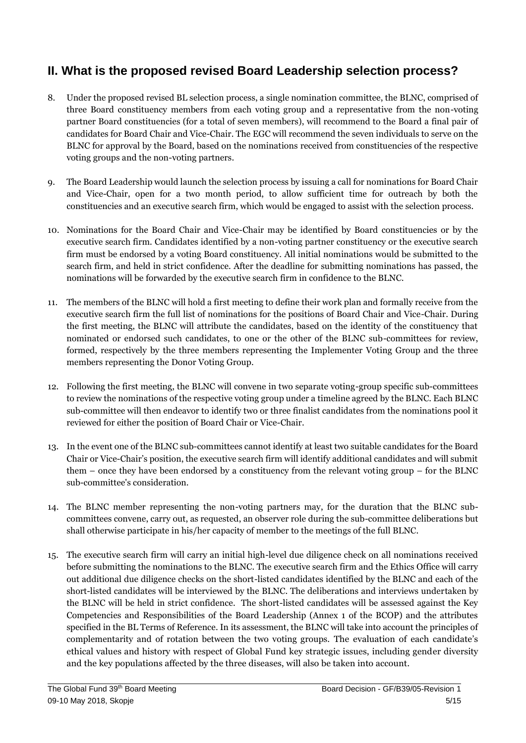# **II. What is the proposed revised Board Leadership selection process?**

- 8. Under the proposed revised BL selection process, a single nomination committee, the BLNC, comprised of three Board constituency members from each voting group and a representative from the non-voting partner Board constituencies (for a total of seven members), will recommend to the Board a final pair of candidates for Board Chair and Vice-Chair. The EGC will recommend the seven individuals to serve on the BLNC for approval by the Board, based on the nominations received from constituencies of the respective voting groups and the non-voting partners.
- 9. The Board Leadership would launch the selection process by issuing a call for nominations for Board Chair and Vice-Chair, open for a two month period, to allow sufficient time for outreach by both the constituencies and an executive search firm, which would be engaged to assist with the selection process.
- 10. Nominations for the Board Chair and Vice-Chair may be identified by Board constituencies or by the executive search firm. Candidates identified by a non-voting partner constituency or the executive search firm must be endorsed by a voting Board constituency. All initial nominations would be submitted to the search firm, and held in strict confidence. After the deadline for submitting nominations has passed, the nominations will be forwarded by the executive search firm in confidence to the BLNC.
- 11. The members of the BLNC will hold a first meeting to define their work plan and formally receive from the executive search firm the full list of nominations for the positions of Board Chair and Vice-Chair. During the first meeting, the BLNC will attribute the candidates, based on the identity of the constituency that nominated or endorsed such candidates, to one or the other of the BLNC sub-committees for review, formed, respectively by the three members representing the Implementer Voting Group and the three members representing the Donor Voting Group.
- 12. Following the first meeting, the BLNC will convene in two separate voting-group specific sub-committees to review the nominations of the respective voting group under a timeline agreed by the BLNC. Each BLNC sub-committee will then endeavor to identify two or three finalist candidates from the nominations pool it reviewed for either the position of Board Chair or Vice-Chair.
- 13. In the event one of the BLNC sub-committees cannot identify at least two suitable candidates for the Board Chair or Vice-Chair's position, the executive search firm will identify additional candidates and will submit them – once they have been endorsed by a constituency from the relevant voting group – for the BLNC sub-committee's consideration.
- 14. The BLNC member representing the non-voting partners may, for the duration that the BLNC subcommittees convene, carry out, as requested, an observer role during the sub-committee deliberations but shall otherwise participate in his/her capacity of member to the meetings of the full BLNC.
- 15. The executive search firm will carry an initial high-level due diligence check on all nominations received before submitting the nominations to the BLNC. The executive search firm and the Ethics Office will carry out additional due diligence checks on the short-listed candidates identified by the BLNC and each of the short-listed candidates will be interviewed by the BLNC. The deliberations and interviews undertaken by the BLNC will be held in strict confidence. The short-listed candidates will be assessed against the Key Competencies and Responsibilities of the Board Leadership (Annex 1 of the BCOP) and the attributes specified in the BL Terms of Reference. In its assessment, the BLNC will take into account the principles of complementarity and of rotation between the two voting groups. The evaluation of each candidate's ethical values and history with respect of Global Fund key strategic issues, including gender diversity and the key populations affected by the three diseases, will also be taken into account.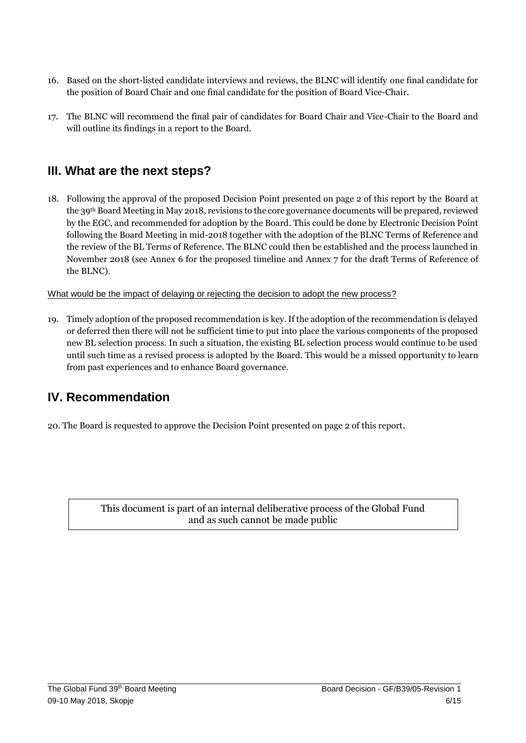- 16. Based on the short-listed candidate interviews and reviews, the BLNC will identify one final candidate for the position of Board Chair and one final candidate for the position of Board Vice-Chair.
- 17. The BLNC will recommend the final pair of candidates for Board Chair and Vice-Chair to the Board and will outline its findings in a report to the Board.

## **III. What are the next steps?**

18. Following the approval of the proposed Decision Point presented on page 2 of this report by the Board at the 39th Board Meeting in May 2018, revisions to the core governance documents will be prepared, reviewed by the EGC, and recommended for adoption by the Board. This could be done by Electronic Decision Point following the Board Meeting in mid-2018 together with the adoption of the BLNC Terms of Reference and the review of the BL Terms of Reference. The BLNC could then be established and the process launched in November 2018 (see Annex 6 for the proposed timeline and Annex 7 for the draft Terms of Reference of the BLNC).

What would be the impact of delaying or rejecting the decision to adopt the new process?

19. Timely adoption of the proposed recommendation is key. If the adoption of the recommendation is delayed or deferred then there will not be sufficient time to put into place the various components of the proposed new BL selection process. In such a situation, the existing BL selection process would continue to be used until such time as a revised process is adopted by the Board. This would be a missed opportunity to learn from past experiences and to enhance Board governance.

## **IV. Recommendation**

20. The Board is requested to approve the Decision Point presented on page 2 of this report.

This document is part of an internal deliberative process of the Global Fund and as such cannot be made public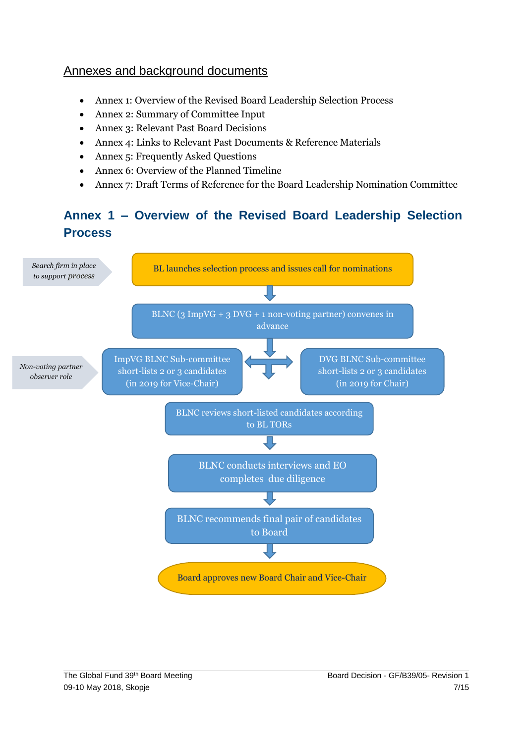## Annexes and background documents

- Annex 1: Overview of the Revised Board Leadership Selection Process
- Annex 2: Summary of Committee Input
- Annex 3: Relevant Past Board Decisions
- Annex 4: Links to Relevant Past Documents & Reference Materials
- Annex 5: Frequently Asked Questions
- Annex 6: Overview of the Planned Timeline
- Annex 7: Draft Terms of Reference for the Board Leadership Nomination Committee

# **Annex 1 – Overview of the Revised Board Leadership Selection Process**

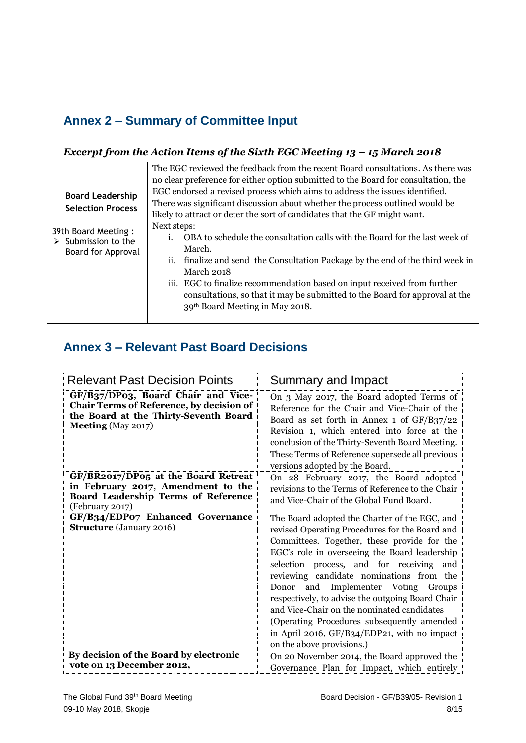# **Annex 2 – Summary of Committee Input**

## *Excerpt from the Action Items of the Sixth EGC Meeting 13 - 15 March 2018*

|                                    | The EGC reviewed the feedback from the recent Board consultations. As there was    |  |  |
|------------------------------------|------------------------------------------------------------------------------------|--|--|
|                                    | no clear preference for either option submitted to the Board for consultation, the |  |  |
| <b>Board Leadership</b>            | EGC endorsed a revised process which aims to address the issues identified.        |  |  |
| <b>Selection Process</b>           | There was significant discussion about whether the process outlined would be       |  |  |
|                                    | likely to attract or deter the sort of candidates that the GF might want.          |  |  |
| 39th Board Meeting:                | Next steps:                                                                        |  |  |
| $\triangleright$ Submission to the | OBA to schedule the consultation calls with the Board for the last week of         |  |  |
| Board for Approval                 | March.                                                                             |  |  |
|                                    | ii. finalize and send the Consultation Package by the end of the third week in     |  |  |
|                                    | March 2018                                                                         |  |  |
|                                    | iii. EGC to finalize recommendation based on input received from further           |  |  |
|                                    | consultations, so that it may be submitted to the Board for approval at the        |  |  |
|                                    | 39th Board Meeting in May 2018.                                                    |  |  |
|                                    |                                                                                    |  |  |

# **Annex 3 – Relevant Past Board Decisions**

| <b>Relevant Past Decision Points</b>                                                                                                                        | Summary and Impact                                                                                                                                                                                                                                                                                                                                                                                                                                                                                                                                         |
|-------------------------------------------------------------------------------------------------------------------------------------------------------------|------------------------------------------------------------------------------------------------------------------------------------------------------------------------------------------------------------------------------------------------------------------------------------------------------------------------------------------------------------------------------------------------------------------------------------------------------------------------------------------------------------------------------------------------------------|
| GF/B37/DP03, Board Chair and Vice-<br><b>Chair Terms of Reference, by decision of</b><br>the Board at the Thirty-Seventh Board<br><b>Meeting</b> (May 2017) | On 3 May 2017, the Board adopted Terms of<br>Reference for the Chair and Vice-Chair of the<br>Board as set forth in Annex 1 of $GF/B37/22$<br>Revision 1, which entered into force at the<br>conclusion of the Thirty-Seventh Board Meeting.<br>These Terms of Reference supersede all previous<br>versions adopted by the Board.                                                                                                                                                                                                                          |
| GF/BR2017/DP05 at the Board Retreat<br>in February 2017, Amendment to the<br><b>Board Leadership Terms of Reference</b><br>(February 2017)                  | On 28 February 2017, the Board adopted<br>revisions to the Terms of Reference to the Chair<br>and Vice-Chair of the Global Fund Board.                                                                                                                                                                                                                                                                                                                                                                                                                     |
| GF/B34/EDP07 Enhanced Governance<br><b>Structure</b> (January 2016)                                                                                         | The Board adopted the Charter of the EGC, and<br>revised Operating Procedures for the Board and<br>Committees. Together, these provide for the<br>EGC's role in overseeing the Board leadership<br>selection process, and for receiving and<br>reviewing candidate nominations from the<br>Donor and Implementer Voting Groups<br>respectively, to advise the outgoing Board Chair<br>and Vice-Chair on the nominated candidates<br>(Operating Procedures subsequently amended<br>in April 2016, GF/B34/EDP21, with no impact<br>on the above provisions.) |
| By decision of the Board by electronic<br>vote on 13 December 2012,                                                                                         | On 20 November 2014, the Board approved the<br>Governance Plan for Impact, which entirely                                                                                                                                                                                                                                                                                                                                                                                                                                                                  |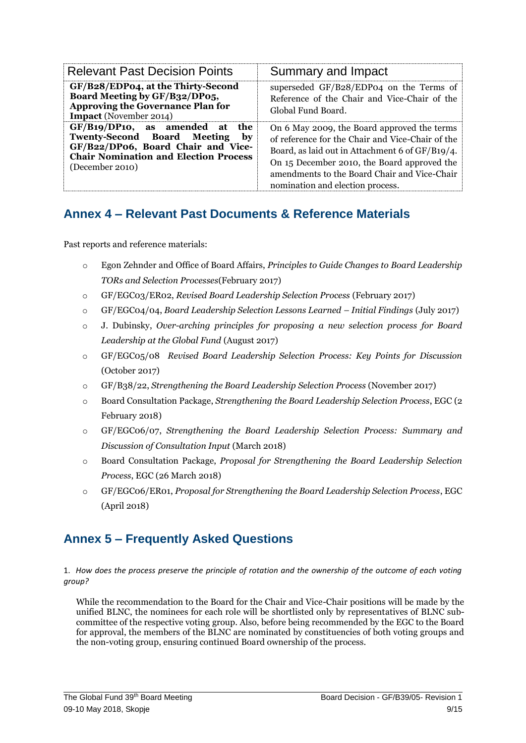| <b>Relevant Past Decision Points</b>                                                                                                                                                                              | Summary and Impact                                                                                                                                                                                                                                                                    |
|-------------------------------------------------------------------------------------------------------------------------------------------------------------------------------------------------------------------|---------------------------------------------------------------------------------------------------------------------------------------------------------------------------------------------------------------------------------------------------------------------------------------|
| GF/B28/EDP04, at the Thirty-Second<br>Board Meeting by GF/B32/DP05,<br><b>Approving the Governance Plan for</b><br><b>Impact</b> (November 2014)                                                                  | superseded GF/B28/EDP04 on the Terms of<br>Reference of the Chair and Vice-Chair of the<br>Global Fund Board.                                                                                                                                                                         |
| $GF/B19/DP10$ , as amended<br>the<br>at<br><b>Twenty-Second Board Meeting</b><br>$\mathbf{b} \mathbf{v}$<br>GF/B22/DP06, Board Chair and Vice-<br><b>Chair Nomination and Election Process</b><br>(December 2010) | On 6 May 2009, the Board approved the terms<br>of reference for the Chair and Vice-Chair of the<br>Board, as laid out in Attachment 6 of GF/B19/4.<br>On 15 December 2010, the Board approved the<br>amendments to the Board Chair and Vice-Chair<br>nomination and election process. |

## **Annex 4 – Relevant Past Documents & Reference Materials**

Past reports and reference materials:

- o Egon Zehnder and Office of Board Affairs, *Principles to Guide Changes to Board Leadership TORs and Selection Processes*(February 2017)
- o GF/EGC03/ER02, *Revised Board Leadership Selection Process* (February 2017)
- o GF/EGC04/04, *Board Leadership Selection Lessons Learned – Initial Findings* (July 2017)
- o J. Dubinsky, *Over-arching principles for proposing a new selection process for Board Leadership at the Global Fund* (August 2017)
- o GF/EGC05/08 *Revised Board Leadership Selection Process: Key Points for Discussion* (October 2017)
- o GF/B38/22, *Strengthening the Board Leadership Selection Process* (November 2017)
- o Board Consultation Package, *Strengthening the Board Leadership Selection Process*, EGC (2 February 2018)
- o GF/EGC06/07, *Strengthening the Board Leadership Selection Process: Summary and Discussion of Consultation Input* (March 2018)
- o Board Consultation Package, *Proposal for Strengthening the Board Leadership Selection Process*, EGC (26 March 2018)
- o GF/EGC06/ER01, *Proposal for Strengthening the Board Leadership Selection Process*, EGC (April 2018)

# **Annex 5 – Frequently Asked Questions**

1. *How does the process preserve the principle of rotation and the ownership of the outcome of each voting group?*

While the recommendation to the Board for the Chair and Vice-Chair positions will be made by the unified BLNC, the nominees for each role will be shortlisted only by representatives of BLNC subcommittee of the respective voting group. Also, before being recommended by the EGC to the Board for approval, the members of the BLNC are nominated by constituencies of both voting groups and the non-voting group, ensuring continued Board ownership of the process.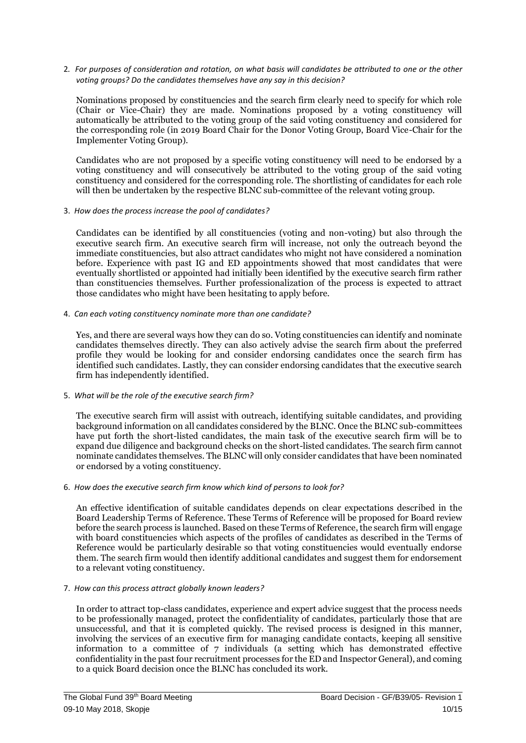2*. For purposes of consideration and rotation, on what basis will candidates be attributed to one or the other voting groups? Do the candidates themselves have any say in this decision?*

Nominations proposed by constituencies and the search firm clearly need to specify for which role (Chair or Vice-Chair) they are made. Nominations proposed by a voting constituency will automatically be attributed to the voting group of the said voting constituency and considered for the corresponding role (in 2019 Board Chair for the Donor Voting Group, Board Vice-Chair for the Implementer Voting Group).

Candidates who are not proposed by a specific voting constituency will need to be endorsed by a voting constituency and will consecutively be attributed to the voting group of the said voting constituency and considered for the corresponding role. The shortlisting of candidates for each role will then be undertaken by the respective BLNC sub-committee of the relevant voting group.

3. *How does the process increase the pool of candidates?*

Candidates can be identified by all constituencies (voting and non-voting) but also through the executive search firm. An executive search firm will increase, not only the outreach beyond the immediate constituencies, but also attract candidates who might not have considered a nomination before. Experience with past IG and ED appointments showed that most candidates that were eventually shortlisted or appointed had initially been identified by the executive search firm rather than constituencies themselves. Further professionalization of the process is expected to attract those candidates who might have been hesitating to apply before.

4. *Can each voting constituency nominate more than one candidate?*

Yes, and there are several ways how they can do so. Voting constituencies can identify and nominate candidates themselves directly. They can also actively advise the search firm about the preferred profile they would be looking for and consider endorsing candidates once the search firm has identified such candidates. Lastly, they can consider endorsing candidates that the executive search firm has independently identified.

#### 5. *What will be the role of the executive search firm?*

The executive search firm will assist with outreach, identifying suitable candidates, and providing background information on all candidates considered by the BLNC. Once the BLNC sub-committees have put forth the short-listed candidates, the main task of the executive search firm will be to expand due diligence and background checks on the short-listed candidates. The search firm cannot nominate candidates themselves. The BLNC will only consider candidates that have been nominated or endorsed by a voting constituency.

#### 6. *How does the executive search firm know which kind of persons to look for?*

An effective identification of suitable candidates depends on clear expectations described in the Board Leadership Terms of Reference. These Terms of Reference will be proposed for Board review before the search process is launched. Based on these Terms of Reference, the search firm will engage with board constituencies which aspects of the profiles of candidates as described in the Terms of Reference would be particularly desirable so that voting constituencies would eventually endorse them. The search firm would then identify additional candidates and suggest them for endorsement to a relevant voting constituency.

#### 7. *How can this process attract globally known leaders?*

In order to attract top-class candidates, experience and expert advice suggest that the process needs to be professionally managed, protect the confidentiality of candidates, particularly those that are unsuccessful, and that it is completed quickly. The revised process is designed in this manner, involving the services of an executive firm for managing candidate contacts, keeping all sensitive information to a committee of 7 individuals (a setting which has demonstrated effective confidentiality in the past four recruitment processes for the ED and Inspector General), and coming to a quick Board decision once the BLNC has concluded its work.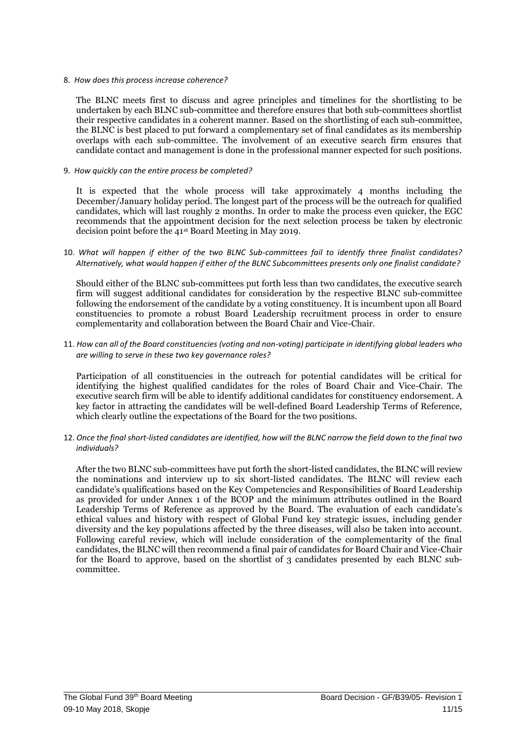#### 8. *How does this process increase coherence?*

The BLNC meets first to discuss and agree principles and timelines for the shortlisting to be undertaken by each BLNC sub-committee and therefore ensures that both sub-committees shortlist their respective candidates in a coherent manner. Based on the shortlisting of each sub-committee, the BLNC is best placed to put forward a complementary set of final candidates as its membership overlaps with each sub-committee. The involvement of an executive search firm ensures that candidate contact and management is done in the professional manner expected for such positions.

#### 9. *How quickly can the entire process be completed?*

It is expected that the whole process will take approximately 4 months including the December/January holiday period. The longest part of the process will be the outreach for qualified candidates, which will last roughly 2 months. In order to make the process even quicker, the EGC recommends that the appointment decision for the next selection process be taken by electronic decision point before the 41st Board Meeting in May 2019.

10. *What will happen if either of the two BLNC Sub-committees fail to identify three finalist candidates? Alternatively, what would happen if either of the BLNC Subcommittees presents only one finalist candidate?*

Should either of the BLNC sub-committees put forth less than two candidates, the executive search firm will suggest additional candidates for consideration by the respective BLNC sub-committee following the endorsement of the candidate by a voting constituency. It is incumbent upon all Board constituencies to promote a robust Board Leadership recruitment process in order to ensure complementarity and collaboration between the Board Chair and Vice-Chair.

11. *How can all of the Board constituencies (voting and non-voting) participate in identifying global leaders who are willing to serve in these two key governance roles?*

Participation of all constituencies in the outreach for potential candidates will be critical for identifying the highest qualified candidates for the roles of Board Chair and Vice-Chair. The executive search firm will be able to identify additional candidates for constituency endorsement. A key factor in attracting the candidates will be well-defined Board Leadership Terms of Reference, which clearly outline the expectations of the Board for the two positions.

12. *Once the final short-listed candidates are identified, how will the BLNC narrow the field down to the final two individuals?* 

After the two BLNC sub-committees have put forth the short-listed candidates, the BLNC will review the nominations and interview up to six short-listed candidates. The BLNC will review each candidate's qualifications based on the Key Competencies and Responsibilities of Board Leadership as provided for under Annex 1 of the BCOP and the minimum attributes outlined in the Board Leadership Terms of Reference as approved by the Board. The evaluation of each candidate's ethical values and history with respect of Global Fund key strategic issues, including gender diversity and the key populations affected by the three diseases, will also be taken into account. Following careful review, which will include consideration of the complementarity of the final candidates, the BLNC will then recommend a final pair of candidates for Board Chair and Vice-Chair for the Board to approve, based on the shortlist of 3 candidates presented by each BLNC subcommittee.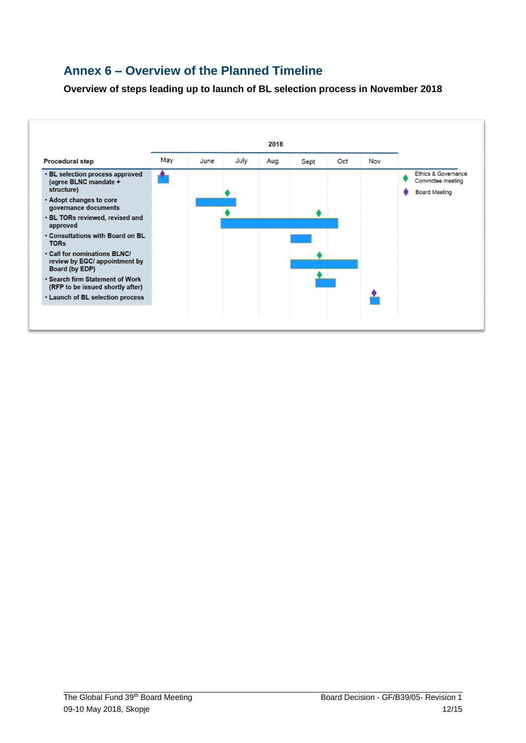## **Annex 6 – Overview of the Planned Timeline**

**Overview of steps leading up to launch of BL selection process in November 2018**

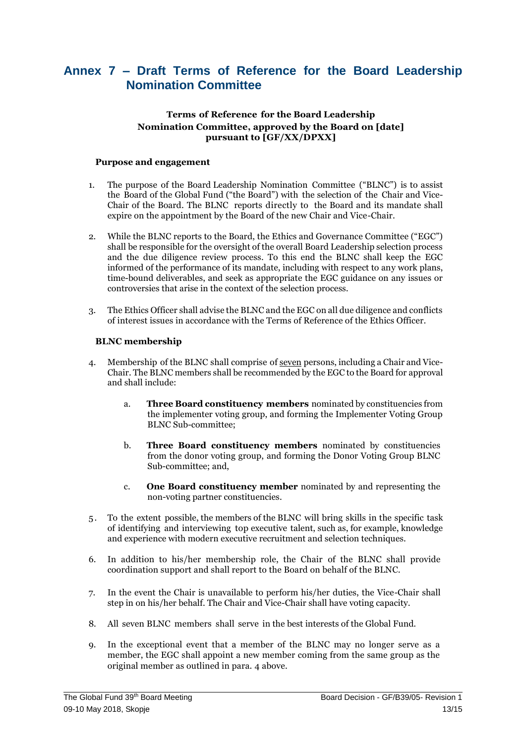## **Annex 7 – Draft Terms of Reference for the Board Leadership Nomination Committee**

### **Terms of Reference for the Board Leadership Nomination Committee, approved by the Board on [date] pursuant to [GF/XX/DPXX]**

#### **Purpose and engagement**

- 1. The purpose of the Board Leadership Nomination Committee ("BLNC") is to assist the Board of the Global Fund ("the Board") with the selection of the Chair and Vice-Chair of the Board. The BLNC reports directly to the Board and its mandate shall expire on the appointment by the Board of the new Chair and Vice-Chair.
- 2. While the BLNC reports to the Board, the Ethics and Governance Committee ("EGC") shall be responsible for the oversight of the overall Board Leadership selection process and the due diligence review process. To this end the BLNC shall keep the EGC informed of the performance of its mandate, including with respect to any work plans, time-bound deliverables, and seek as appropriate the EGC guidance on any issues or controversies that arise in the context of the selection process.
- 3. The Ethics Officer shall advise the BLNC and the EGC on all due diligence and conflicts of interest issues in accordance with the Terms of Reference of the Ethics Officer.

#### **BLNC membership**

- 4. Membership of the BLNC shall comprise of seven persons, including a Chair and Vice-Chair. The BLNC members shall be recommended by the EGC to the Board for approval and shall include:
	- a. **Three Board constituency members** nominated by constituencies from the implementer voting group, and forming the Implementer Voting Group BLNC Sub-committee;
	- b. **Three Board constituency members** nominated by constituencies from the donor voting group, and forming the Donor Voting Group BLNC Sub-committee; and,
	- c. **One Board constituency member** nominated by and representing the non-voting partner constituencies.
- 5 . To the extent possible, the members of the BLNC will bring skills in the specific task of identifying and interviewing top executive talent, such as, for example, knowledge and experience with modern executive recruitment and selection techniques.
- 6. In addition to his/her membership role, the Chair of the BLNC shall provide coordination support and shall report to the Board on behalf of the BLNC.
- 7. In the event the Chair is unavailable to perform his/her duties, the Vice-Chair shall step in on his/her behalf. The Chair and Vice-Chair shall have voting capacity.
- 8. All seven BLNC members shall serve in the best interests of the Global Fund.
- 9. In the exceptional event that a member of the BLNC may no longer serve as a member, the EGC shall appoint a new member coming from the same group as the original member as outlined in para. 4 above.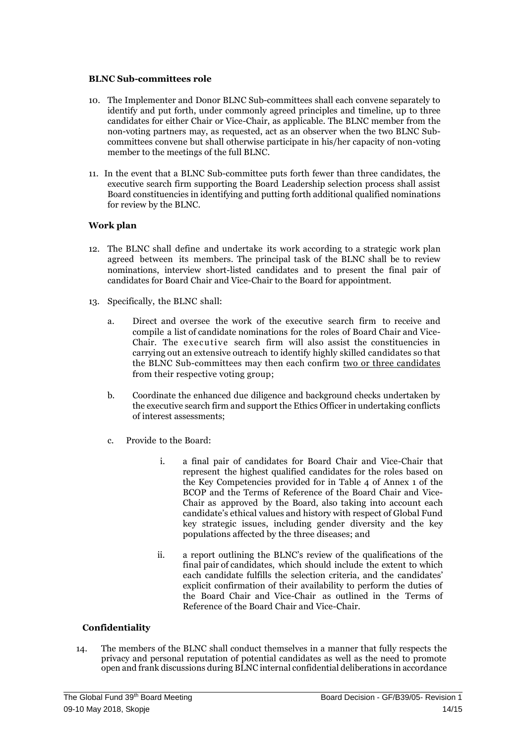#### **BLNC Sub-committees role**

- 10. The Implementer and Donor BLNC Sub-committees shall each convene separately to identify and put forth, under commonly agreed principles and timeline, up to three candidates for either Chair or Vice-Chair, as applicable. The BLNC member from the non-voting partners may, as requested, act as an observer when the two BLNC Subcommittees convene but shall otherwise participate in his/her capacity of non-voting member to the meetings of the full BLNC.
- 11. In the event that a BLNC Sub-committee puts forth fewer than three candidates, the executive search firm supporting the Board Leadership selection process shall assist Board constituencies in identifying and putting forth additional qualified nominations for review by the BLNC.

#### **Work plan**

- 12. The BLNC shall define and undertake its work according to a strategic work plan agreed between its members. The principal task of the BLNC shall be to review nominations, interview short-listed candidates and to present the final pair of candidates for Board Chair and Vice-Chair to the Board for appointment.
- 13. Specifically, the BLNC shall:
	- a. Direct and oversee the work of the executive search firm to receive and compile a list of candidate nominations for the roles of Board Chair and Vice-Chair. The executive search firm will also assist the constituencies in carrying out an extensive outreach to identify highly skilled candidates so that the BLNC Sub-committees may then each confirm two or three candidates from their respective voting group;
	- b. Coordinate the enhanced due diligence and background checks undertaken by the executive search firm and support the Ethics Officer in undertaking conflicts of interest assessments;
	- c. Provide to the Board:
		- i. a final pair of candidates for Board Chair and Vice-Chair that represent the highest qualified candidates for the roles based on the Key Competencies provided for in Table 4 of Annex 1 of the BCOP and the Terms of Reference of the Board Chair and Vice-Chair as approved by the Board, also taking into account each candidate's ethical values and history with respect of Global Fund key strategic issues, including gender diversity and the key populations affected by the three diseases; and
		- ii. a report outlining the BLNC's review of the qualifications of the final pair of candidates, which should include the extent to which each candidate fulfills the selection criteria, and the candidates' explicit confirmation of their availability to perform the duties of the Board Chair and Vice-Chair as outlined in the Terms of Reference of the Board Chair and Vice-Chair.

#### **Confidentiality**

14. The members of the BLNC shall conduct themselves in a manner that fully respects the privacy and personal reputation of potential candidates as well as the need to promote open and frank discussions during BLNC internal confidential deliberations in accordance